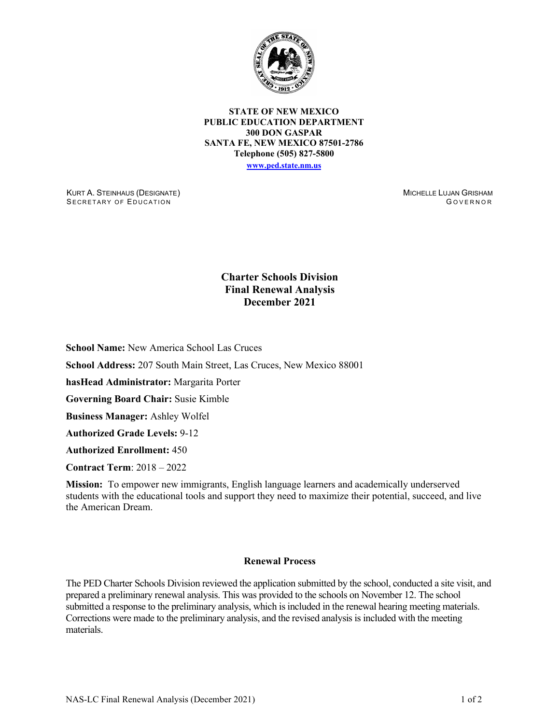

**STATE OF NEW MEXICO PUBLIC EDUCATION DEPARTMENT 300 DON GASPAR SANTA FE, NEW MEXICO 87501-2786 Telephone (505) 827-5800 [www.ped.state.nm.us](http://webnew.ped.state.nm.us/)**

KURT A. STEINHAUS (DESIGNATE) SECRETARY OF EDUCATION

MICHELLE LUJAN GRISHAM G OVERNOR

## **Charter Schools Division Final Renewal Analysis December 2021**

**School Name:** New America School Las Cruces

**School Address:** 207 South Main Street, Las Cruces, New Mexico 88001

**hasHead Administrator:** Margarita Porter

**Governing Board Chair:** Susie Kimble

**Business Manager:** Ashley Wolfel

**Authorized Grade Levels:** 9-12

**Authorized Enrollment:** 450

**Contract Term**: 2018 – 2022

**Mission:** To empower new immigrants, English language learners and academically underserved students with the educational tools and support they need to maximize their potential, succeed, and live the American Dream.

## **Renewal Process**

The PED Charter Schools Division reviewed the application submitted by the school, conducted a site visit, and prepared a preliminary renewal analysis. This was provided to the schools on November 12. The school submitted a response to the preliminary analysis, which is included in the renewal hearing meeting materials. Corrections were made to the preliminary analysis, and the revised analysis is included with the meeting materials.